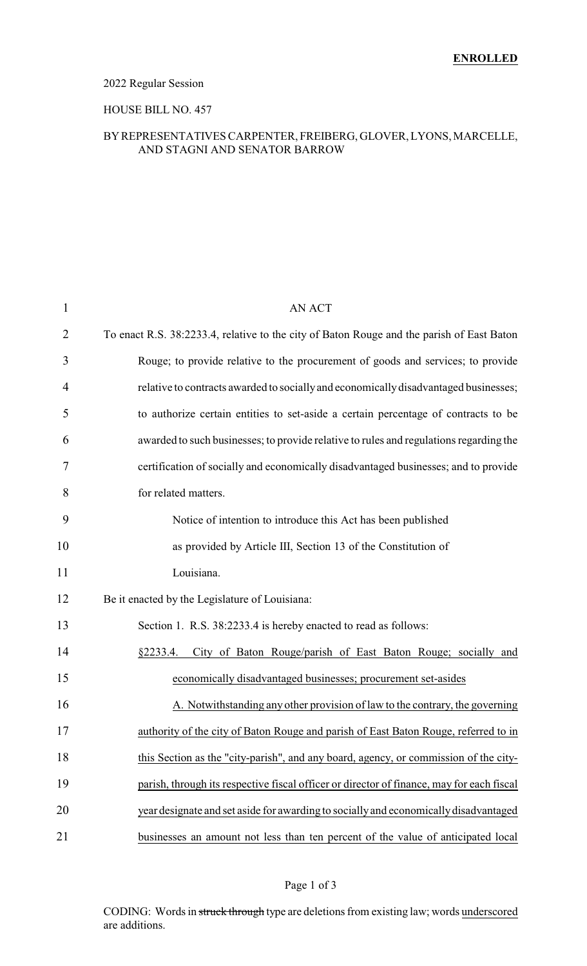## 2022 Regular Session

### HOUSE BILL NO. 457

### BYREPRESENTATIVES CARPENTER, FREIBERG, GLOVER, LYONS, MARCELLE, AND STAGNI AND SENATOR BARROW

| $\mathbf{1}$   | <b>AN ACT</b>                                                                             |
|----------------|-------------------------------------------------------------------------------------------|
| $\overline{2}$ | To enact R.S. 38:2233.4, relative to the city of Baton Rouge and the parish of East Baton |
| 3              | Rouge; to provide relative to the procurement of goods and services; to provide           |
| 4              | relative to contracts awarded to socially and economically disadvantaged businesses;      |
| 5              | to authorize certain entities to set-aside a certain percentage of contracts to be        |
| 6              | awarded to such businesses; to provide relative to rules and regulations regarding the    |
| 7              | certification of socially and economically disadvantaged businesses; and to provide       |
| 8              | for related matters.                                                                      |
| 9              | Notice of intention to introduce this Act has been published                              |
| 10             | as provided by Article III, Section 13 of the Constitution of                             |
| 11             | Louisiana.                                                                                |
| 12             | Be it enacted by the Legislature of Louisiana:                                            |
| 13             | Section 1. R.S. 38:2233.4 is hereby enacted to read as follows:                           |
| 14             | City of Baton Rouge/parish of East Baton Rouge; socially and<br>§2233.4.                  |
| 15             | economically disadvantaged businesses; procurement set-asides                             |
| 16             | A. Notwithstanding any other provision of law to the contrary, the governing              |
| 17             | authority of the city of Baton Rouge and parish of East Baton Rouge, referred to in       |
| 18             | this Section as the "city-parish", and any board, agency, or commission of the city-      |
| 19             | parish, through its respective fiscal officer or director of finance, may for each fiscal |
| 20             | year designate and set aside for awarding to socially and economically disadvantaged      |
| 21             | businesses an amount not less than ten percent of the value of anticipated local          |

### Page 1 of 3

CODING: Words in struck through type are deletions from existing law; words underscored are additions.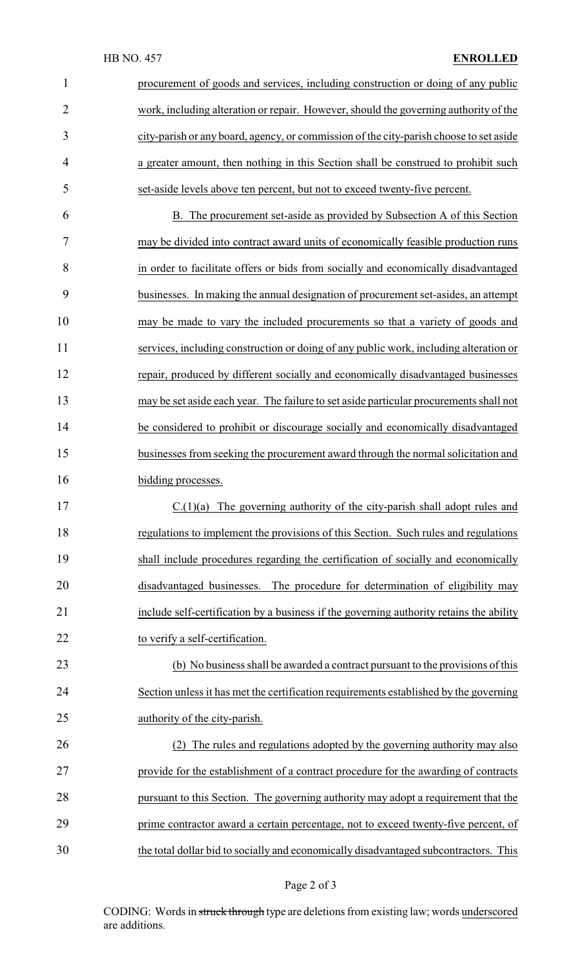| $\mathbf{1}$   | procurement of goods and services, including construction or doing of any public        |
|----------------|-----------------------------------------------------------------------------------------|
| $\overline{2}$ | work, including alteration or repair. However, should the governing authority of the    |
| 3              | city-parish or any board, agency, or commission of the city-parish choose to set aside  |
| $\overline{4}$ | a greater amount, then nothing in this Section shall be construed to prohibit such      |
| 5              | set-aside levels above ten percent, but not to exceed twenty-five percent.              |
| 6              | B. The procurement set-aside as provided by Subsection A of this Section                |
| 7              | may be divided into contract award units of economically feasible production runs       |
| 8              | in order to facilitate offers or bids from socially and economically disadvantaged      |
| 9              | businesses. In making the annual designation of procurement set-asides, an attempt      |
| 10             | may be made to vary the included procurements so that a variety of goods and            |
| 11             | services, including construction or doing of any public work, including alteration or   |
| 12             | repair, produced by different socially and economically disadvantaged businesses        |
| 13             | may be set aside each year. The failure to set aside particular procurements shall not  |
| 14             | be considered to prohibit or discourage socially and economically disadvantaged         |
| 15             | businesses from seeking the procurement award through the normal solicitation and       |
| 16             | bidding processes.                                                                      |
| 17             | $C.(1)(a)$ The governing authority of the city-parish shall adopt rules and             |
| 18             | regulations to implement the provisions of this Section. Such rules and regulations     |
| 19             | shall include procedures regarding the certification of socially and economically       |
| 20             | disadvantaged businesses. The procedure for determination of eligibility may            |
| 21             | include self-certification by a business if the governing authority retains the ability |
| 22             | to verify a self-certification.                                                         |
| 23             | (b) No business shall be awarded a contract pursuant to the provisions of this          |
| 24             | Section unless it has met the certification requirements established by the governing   |
| 25             | authority of the city-parish.                                                           |
| 26             | (2) The rules and regulations adopted by the governing authority may also               |
| 27             | provide for the establishment of a contract procedure for the awarding of contracts     |
| 28             | pursuant to this Section. The governing authority may adopt a requirement that the      |
| 29             | prime contractor award a certain percentage, not to exceed twenty-five percent, of      |
| 30             | the total dollar bid to socially and economically disadvantaged subcontractors. This    |

# Page 2 of 3

CODING: Words in struck through type are deletions from existing law; words underscored are additions.